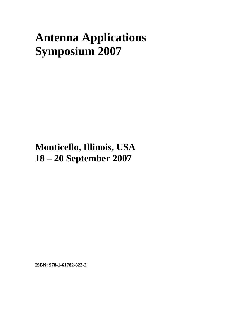## **Antenna Applications Symposium 2007**

**Monticello, Illinois, USA 18 – 20 September 2007**

**ISBN: 978-1-61782-823-2**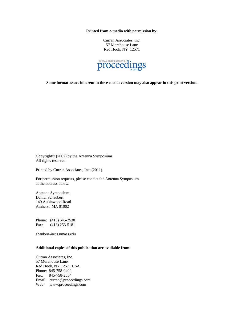**Printed from e-media with permission by:** 

Curran Associates, Inc. 57 Morehouse Lane Red Hook, NY 12571



**Some format issues inherent in the e-media version may also appear in this print version.** 

Copyright© (2007) by the Antenna Symposium All rights reserved.

Printed by Curran Associates, Inc. (2011)

For permission requests, please contact the Antenna Symposium at the address below.

Antenna Symposium Daniel Schaubert 149 Aubinwood Road Amherst, MA 01002

Phone: (413) 545-2530 Fax: (413) 253-5181

shaubert@ecs.umass.edu

## **Additional copies of this publication are available from:**

Curran Associates, Inc. 57 Morehouse Lane Red Hook, NY 12571 USA Phone: 845-758-0400 Fax: 845-758-2634 Email: curran@proceedings.com Web: www.proceedings.com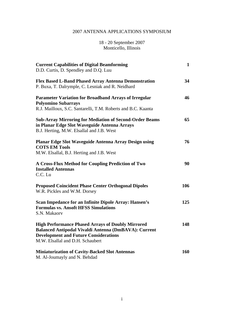## 2007 ANTENNA APPLICATIONS SYMPOSIUM

18 - 20 September 2007 Monticello, Illinois

| <b>Current Capabilities of Digital Beamforming</b><br>D.D. Curtis, D. Spendley and D.Q. Luu                                                                                                          | $\mathbf{1}$ |
|------------------------------------------------------------------------------------------------------------------------------------------------------------------------------------------------------|--------------|
| Flex Based L-Band Phased Array Antenna Demonstration<br>P. Buxa, T. Dalrymple, C. Lesniak and R. Neidhard                                                                                            | 34           |
| <b>Parameter Variation for Broadband Arrays of Irregular</b><br><b>Polyomino Subarrays</b><br>R.J. Mailloux, S.C. Santarelli, T.M. Roberts and B.C. Kaanta                                           | 46           |
| <b>Sub-Array Mirroring for Mediation of Second-Order Beams</b><br>in Planar Edge Slot Waveguide Antenna Arrays<br>B.J. Herting, M.W. Elsallal and J.B. West                                          | 65           |
| Planar Edge Slot Waveguide Antenna Array Design using<br><b>COTS EM Tools</b><br>M.W. Elsallal, B.J. Herting and J.B. West                                                                           | 76           |
| A Cross-Flux Method for Coupling Prediction of Two<br><b>Installed Antennas</b><br>C.C. Lu                                                                                                           | 90           |
| <b>Proposed Coincident Phase Center Orthogonal Dipoles</b><br>W.R. Pickles and W.M. Dorsey                                                                                                           | 106          |
| Scan Impedance for an Infinite Dipole Array: Hansen's<br><b>Formulas vs. Ansoft HFSS Simulations</b><br>S.N. Makaorv                                                                                 | 125          |
| <b>High Performance Phased Arrays of Doubly Mirrored</b><br>Balanced Antipodal Vivaldi Antenna (DmBAVA): Current<br><b>Development and Future Considerations</b><br>M.W. Elsallal and D.H. Schaubert | 148          |
| <b>Miniaturization of Cavity-Backed Slot Antennas</b><br>M. Al-Joumayly and N. Behdad                                                                                                                | 160          |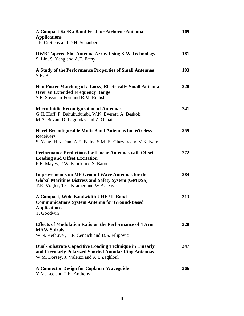| A Compact Ku/Ka Band Feed for Airborne Antenna<br><b>Applications</b><br>J.P. Creticos and D.H. Schaubert                                                             | 169        |
|-----------------------------------------------------------------------------------------------------------------------------------------------------------------------|------------|
| <b>UWB Tapered Slot Antenna Array Using SIW Technology</b><br>S. Lin, S. Yang and A.E. Fathy                                                                          | 181        |
| A Study of the Performance Properties of Small Antennas<br>S.R. Best                                                                                                  | 193        |
| <b>Non-Foster Matching of a Lossy, Electrically-Small Antenna</b><br><b>Over an Extended Frequency Range</b><br>S.E. Sussman-Fort and R.M. Rudish                     | <b>220</b> |
| <b>Microfluidic Reconfiguration of Antennas</b><br>G.H. Huff, P. Bahukudumbi, W.N. Everett, A. Beskok,<br>M.A. Bevan, D. Lagoudas and Z. Ounaies                      | 241        |
| <b>Novel Reconfigurable Multi-Band Antennas for Wireless</b><br><b>Receivers</b><br>S. Yang, H.K. Pan, A.E. Fathy, S.M. El-Ghazaly and V.K. Nair                      | 259        |
| <b>Performance Predictions for Linear Antennas with Offset</b><br><b>Loading and Offset Excitation</b><br>P.E. Mayes, P.W. Klock and S. Barot                         | 272        |
| <b>Improvement s on MF Ground Wave Antennas for the</b><br><b>Global Maritime Distress and Safety System (GMDSS)</b><br>T.R. Vogler, T.C. Kramer and W.A. Davis       | 284        |
| A Compact, Wide Bandwidth UHF / L-Band<br><b>Communications System Antenna for Ground-Based</b><br><b>Applications</b><br>T. Goodwin                                  | 313        |
| <b>Effects of Modulation Ratio on the Performance of 4 Arm</b><br><b>MAW Spirals</b><br>W.N. Kefauver, T.P. Cencich and D.S. Filipovic                                | 328        |
| <b>Dual-Substrate Capacitive Loading Technique in Linearly</b><br>and Circularly Polarized Shorted Annular Ring Antennas<br>W.M. Dorsey, J. Valenzi and A.I. Zaghloul | 347        |
| <b>A Connector Design for Coplanar Waveguide</b><br>Y.M. Lee and T.K. Anthony                                                                                         | 366        |